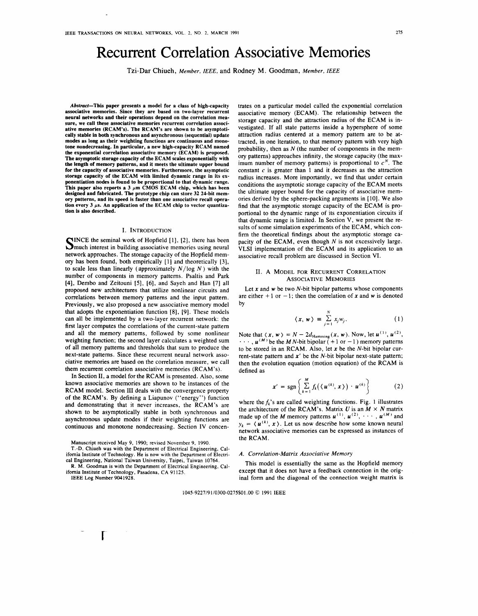# **Recurrent Correlation Associative Memories**

Tzi-Dar Chiueh, *Member, IEEE,* and Rodney M. Goodman, *Member, IEEE* 

*Abstract-This* **paper** presents a model for a class of high-capacity associative memories. Since they are based on two-layer recurrent neural networks and their operations depend on the correlation mea**sure, we call these associative memories recurrent correlation associative memories (RCAM's). The RCAM's are shown** to be **asymptotically stable in both synchronous and** asynchronous **(sequential) update modes as long as their weighting functions are continuous and** mono**tone nondecreasing. In particular, a new high-capacity RCAM named the exponential correlation associative memory (ECAM)** is **proposed. The asymptotic storage capacity of the ECAM scales exponentially with the length of memory patterns, and it meets the ultimate upper bound for the capacity of associative memories. Furthermore, the** asymptotic **storage capacity of the ECAM with limited dynamic range** in **its exponentiation nodes is found to be proportional to that dynamic range. This paper also reports a 3 µm CMOS ECAM chip, which bas been designed and fabricated. The prototype chip can store 32 24-bit** mem**ory patterns, and its speed is faster than one associative recall opera**tion every  $3 \mu s$ . An application of the ECAM chip to vector quantiza**tion is also described.** 

#### I. INTRODUCTION

SINCE the seminal work of Hopfield [1], [2], there has been much interest in building associative memories using neural network approaches. The storage capacity of the Hopfield memory has been found, both empirically [l] and theoretically [3], to scale less than linearly (approximately  $N / \log N$ ) with the number of components in memory patterns. Psaltis and Park [4], Dembo and Zeitouni [5], [6], and Sayeh and Han [7] all proposed new architectures that utilize nonlinear circuits and correlations between memory patterns and the input pattern. Previously, we also proposed a new associative memory model that adopts the exponentiation function [8], [9]. These models can all be implemented by a two-layer recurrent network: the first layer computes the correlations of the current-state pattern and all the memory patterns, followed by some nonlinear weighting function; the second layer calculates a weighted sum of all memory patterns and thresholds that sum to produce the next-state patterns. Since these recurrent neural network associative memories are based on the correlation measure, we call them recurrent correlation associative memories (RCAM's).

In Section II, a model for the **RCAM** is presented. Also, some known associative memories are shown to be instances of the **RCAM** model. Section III deals with the convergence property of the **RCAM's.** By defining a Liapunov ("energy") function and demonstrating that it never increases, the RCAM's are shown to be asymptotically stable in both synchronous and asynchronous update modes if their weighting functions are continuous and monotone nondecreasing. Section IV concen-

Manuscript received May 9, 1990; revised November 9, 1990.

T.-D. Chiueh was with the Department of Electrical Engineering, California Institute of Technology. He is now with the Department of Electrical Engineering, National Taiwan University, Taipei, Taiwan 10764.

**R. M.** Goodman is with the Department of Electrical Engineering. California Institute of Technology, Pasadena, CA 91125. IEEE Log Number 9041928.

**r** 

trates on a particular model called the exponential correlation associative memory **(ECAM).** The relationship between the storage capacity and the attraction radius of the **ECAM** is investigated. If all state patterns inside a hypersphere of some attraction radius centered at a memory pattern are to be attracted, in one iteration, to that memory pattern with very high probability, then as  $N$  (the number of components in the memory patterns) approaches infinity, the storage capacity (the maximum number of memory patterns) is proportional to  $c^N$ . The constant *c* is greater than 1 and it decreases as the attraction radius increases. More importantly, we find that under certain conditions the asymptotic storage capacity of the ECAM meets the ultimate upper bound for the capacity of associative memories derived by the sphere-packing arguments in (10]. We also find that the asymptotic storage capacity of the ECAM is proportional to the dynamic range of its exponentiation circuits if that dynamic range is limited. In Section V, we present the results of some simulation experiments of the ECAM, which confirm the theoretical findings about the asymptotic storage capacity of the ECAM, even though *N* is not excessively large. VLSI implementation of the ECAM and its application to an associative recall problem are discussed in Section VI.

## II. A MODEL FOR RECURRENT CORRELATION ASSOCIATIVE MEMORIES

Let  $x$  and  $w$  be two  $N$ -bit bipolar patterns whose components are either  $+1$  or  $-1$ ; then the correlation of x and w is denoted by

$$
\langle x, w \rangle = \sum_{j=1}^{N} x_j w_j. \tag{1}
$$

Note that  $\langle x, w \rangle = N - 2d_{\text{Hamming}}(x, w)$ . Now, let  $u^{(1)}$ ,  $u^{(2)}$ ,  $\cdots$ ,  $\boldsymbol{u}^{(M)}$  be the *MN*-bit bipolar (+1 or -1) memory patterns to be stored in an **RCAM.** Also, let *x* be the N-bit bipolar current-state pattern and **x'** be the N-bit bipolar next-state pattern; then the evolution equation (motion equation) of the **RCAM** is defined as

$$
\mathbf{x}' = \text{sgn}\left\{\sum_{k=1}^{M} f_k(\langle \mathbf{u}^{(k)}, \mathbf{x}\rangle) \cdot \mathbf{u}^{(k)}\right\} \tag{2}
$$

where the  $f_k$ 's are called weighting functions. Fig. 1 illustrates the architecture of the RCAM's. Matrix U is an  $M \times N$  matrix made up of the *M* memory patterns  $u^{(1)}$ ,  $u^{(2)}$ ,  $\cdots$ ,  $u^{(M)}$  and  $y_k = \langle u^{(k)}, x \rangle$ . Let us now describe how some known neural network associative memories can be expressed as instances of the **RCAM.** 

#### *A. Correlation-Matrix Associative Memory*

This model is essentially the same as the Hopfield memory except that it does not have a feedback connection in the original form and the diagonal of the connection weight matrix is

1045-9227/91/0300-0275\$01.00 © 1991 IEEE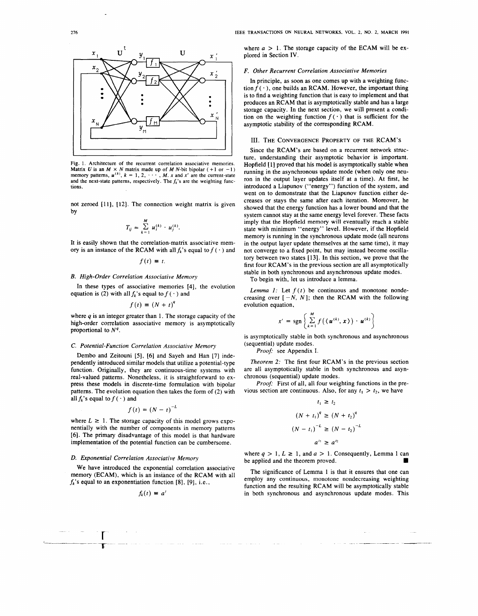

Fig. 1. Architecture of the recurrent correlation associative memories. Matrix U is an  $M \times N$  matrix made up of M N-bit bipolar  $(+1 \text{ or } -1)$  memory patterns,  $u^{(k)}$ ,  $k = 1, 2, \dots$ , M. x and x' are the current-state and the next-state patterns, respectively. The  $f_k$ 's are the weighting functions.

not zeroed [11], [12). The connection weight matrix is given by

$$
T_{ij} = \sum_{k=1}^{M} u_i^{(k)} \cdot u_j^{(k)}.
$$

It is easily shown that the correlation-matrix associative memory is an instance of the RCAM with all  $f_k$ 's equal to  $f(\cdot)$  and

$$
f(t) \equiv t.
$$

# **B.** *High-Order Correlation Associative Memory*

In these types of associative memories [4], the evolution equation is (2) with all  $f_k$ 's equal to  $f(\cdot)$  and

$$
f(t) \equiv (N+t)^q
$$

where  $q$  is an integer greater than 1. The storage capacity of the high-order correlation associative memory is asymptotically proportional to  $N<sup>q</sup>$ .

#### C. *Potential-Function Correlation Associative Memory*

Dembo and Zeitouni [5], [6] and Sayeh and Han [7] independently introduced similar models that utilize a potential-type function. Originally, they are continuous-time systems with real-valued patterns. Nonetheless, it is straightforward to express these models in discrete-time formulation with bipolar patterns. The evolution equation then takes the form of (2) with all  $f_k$ 's equal to  $f(\cdot)$  and

$$
f(t) = (N-t)^{-L}
$$

where  $L \geq 1$ . The storage capacity of this model grows exponentially with the number of components in memory patterns [6]. The primary disadvantage of this model is that hardware implementation of the potential function can be cumbersome.

# *D. Exponential Correlation Associative Memory*

r  $\mathbf{T}$ 

We have introduced the exponential correlation associative memory **(ECAM),** which is an instance of the **RCAM** with all  $f_k$ 's equal to an exponentiation function [8], [9], i.e.,

$$
f_k(t) \equiv a^t
$$

where  $a > 1$ . The storage capacity of the ECAM will be explored in Section IV.

### *F. Other Recurrent Correlation Associative Memories*

In principle, as soon as one comes up with a weighting function  $f(\cdot)$ , one builds an **RCAM**. However, the important thing is to find a weighting function that is easy to implement and that produces an **RCAM** that is asymptotically stable and has a large storage capacity. In the next section, we will present a condition on the weighting function  $f(\cdot)$  that is sufficient for the asymptotic stability of the corresponding **RCAM.** 

#### III. THE CONVERGENCE PROPERTY OF THE **RCAM's**

Since the RCAM's are based on a recurrent network structure, understanding their asymptotic behavior is important. Hopfield [1] proved that his model is asymptotically stable when running in the asynchronous update mode (when only one neuron in the output layer updates itself at a time). At first, he introduced a Liapunov ("energy") function of the system, and went on to demonstrate that the Liapunov function either decreases or stays the same after each iteration. Moreover, he showed that the energy function has a lower bound and that the system cannot stay at the same energy level forever. These facts imply that the Hopfield memory will eventually reach a stable state with minimum "energy" level. However, if the Hopfield memory is running in the synchronous update mode (all neurons in the output layer update themselves at the same time), it may not converge to a fixed point, but may instead become oscillatory between two states [13). In this section, we prove that the first four **RCAM's** in the previous section are all asymptotically stable in both synchronous and asynchronous update modes.

To begin with, let us introduce a lemma.

*Lemma 1:* Let  $f(t)$  be continuous and monotone nondecreasing over  $[-N, N]$ ; then the RCAM with the following evolution equation,

$$
x' = \text{sgn}\left\{\sum_{k=1}^{M} f\left(\langle \boldsymbol{u}^{(k)}, \boldsymbol{x}\rangle\right) \cdot \boldsymbol{u}^{(k)}\right\}
$$

is asymptotically stable in both synchronous and asynchronous (sequential) update modes.

*Proof'* see Appendix I.

*Theorem 2:* The first four **RCAM**'s in the previous section are all asymptotically stable in both synchronous and asynchronous (sequential) update modes.

*Proof'* First of all, all four weighting functions in the previous section are continuous. Also, for any  $t_1 > t_2$ , we have

$$
t_1 \ge t_2
$$
  
\n
$$
(N + t_1)^q \ge (N + t_2)^q
$$
  
\n
$$
(N - t_1)^{-L} \ge (N - t_2)^{-L}
$$
  
\n
$$
a^{t_1} \ge a^{t_2}
$$

where  $q > 1$ ,  $L \ge 1$ , and  $a > 1$ . Consequently, Lemma 1 can be applied and the theorem proved.

The significance of Lemma 1 is that it ensures that one can employ any continuous, monotone nondecreasing weighting function and the resulting RCAM will be asymptotically stable in both synchronous and asynchronous update modes. This

مستبرد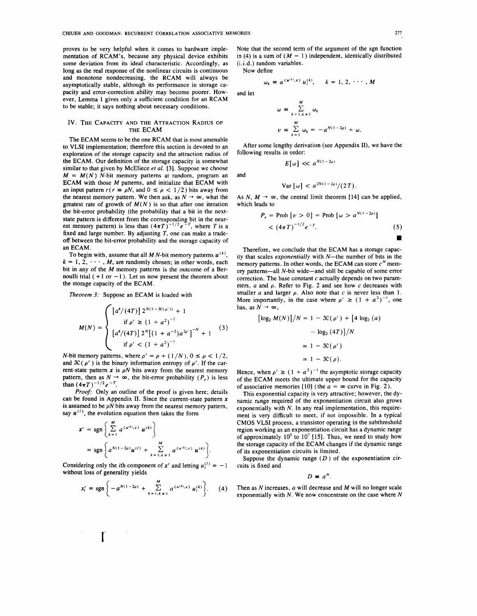proves to be very helpful when it comes to hardware implementation of RCAM's, because any physical device exhibits some deviation from its ideal characteristic. Accordingly, as long as the real response of the nonlinear circuits is continuous and monotone nondecreasing, the **RCAM** will always be asymptotically stable, although its performance in storage capacity and error-correction ability may become poorer. However, Lemma 1 gives only a sufficient condition for an RCAM to be stable; it says nothing about necessary conditions.

## IV. THE CAPACITY AND THE ATTRACTION RADIUS OF THE ECAM

The ECAM seems to be the one RCAM that is most amenable to VLSI implementation; therefore this section is devoted to an exploration of the storage capacity and the attraction radius of the ECAM. Our definition of the storage capacity is somewhat similar to that given by McEliece *et al.* [3]. Suppose we choose  $M = M(N)$  N-bit memory patterns at random, program an ECAM with those *M* patterns, and initialize that ECAM with an input pattern  $r(r = \rho N$ , and  $0 \le \rho < 1/2$ ) bits away from the nearest memory pattern. We then ask, as  $N \rightarrow \infty$ , what the greatest rate of growth of  $M(N)$  is so that after one iteration the bit-error probability (the probability that a bit in the nextstate pattern is different from the corresponding bit in the near-<br>est memory pattern) is less than  $(4\pi T)^{-1/2}e^{-T}$ , where T is a fixed and large number. By adjusting  $T$ , one can make a tradeoff between the bit-error probability and the storage capacity of an **ECAM.** 

To begin with, assume that all MN-bit memory patterns  $u^{(k)}$ ,  $k = 1, 2, \dots, M$ , are randomly chosen; in other words, each bit in any of the M memory patterns is the outcome of a Bernoulli trial  $(+1 \text{ or } -1)$ . Let us now present the theorem about the storage capacity of the ECAM.

*Theorem 3:* Suppose an ECAM is loaded with

$$
M(N) = \begin{cases} \left[a^4/(4T)\right] 2^{N(1-3C(\rho'))} + 1\\ \text{if } \rho' \ge \left(1 + a^2\right)^{-1} \\ \left[a^4/(4T)\right] 2^N \left[\left(1 + a^{-2}\right) a^{2\rho'}\right]^{-N} + 1 \end{cases} \tag{3}
$$

*N*-bit memory patterns, where  $\rho' = \rho + (1/N)$ ,  $0 \le \rho < 1/2$ , and  $\mathcal{K}(\rho')$  is the binary information entropy of  $\rho'$ . If the current-state pattern  $x$  is  $\rho N$  bits away from the nearest memory pattern, then as  $N \to \infty$ , the bit-error probability ( $P_e$ ) is less than  $(4\pi T)^{-1/2} e^{-T}$ .

*Proof-* Only an outline of the proof is given here; details can be found in Appendix II. Since the current-state pattern  $x$ is assumed to be  $\rho N$  bits away from the nearest memory pattern, say  $\mathbf{u}^{(l)}$ , the evolution equation then takes the form

$$
x' = \text{sgn}\left\{\sum_{k=1}^{M} a^{(u^{(k)},x)} u^{(k)}\right\}
$$
  
= sgn $\left\{a^{N(1-2\rho)}u^{(l)} + \sum_{k=1,k\neq 1}^{M} a^{(u^{(k)},x)} u^{(k)}\right\}.$ 

Considering only the *i*th component of *x'* and letting  $u_i^{(1)} = -1$ without loss of generality yields

r

$$
x'_{i} = \text{sgn}\left\{-a^{N(1-2\rho)} + \sum_{k=1, k \neq 1}^{M} a^{\langle u^{(k)}, x \rangle} u^{(k)}_{i}\right\}.
$$
 (4)

Note that the second term of the argument of the sgn function in (4) is a sum of  $(M - 1)$  independent, identically distributed (i.i.d.) random variables.

Now define

$$
\omega_k = a^{(u^{(k)},x)} u_i^{(k)}, \qquad k = 1, 2, \cdots, M
$$

and let

$$
\omega = \sum_{k=1, k \neq l}^{M} \omega_k
$$
  

$$
\nu = \sum_{k=1}^{M} \omega_k = -a^{N(1-2\rho)} + \omega.
$$

After some lengthy derivation (see Appendix II), we have the following results in order:

$$
E[\omega] \ll a^{N(1-2\rho)}
$$

and

$$
\text{Var}\left[\,\omega\right] < a^{2N(1-2\rho)}/(2\,T).
$$

As N,  $M \rightarrow \infty$ , the central limit theorem [14] can be applied, which leads to

$$
P_e = \text{Prob} \left[ v > 0 \right] = \text{Prob} \left[ \omega > a^{N(1-2\rho)} \right] \\
&< \left( 4\pi T \right)^{-1/2} e^{-T}.\n\tag{5}
$$

Therefore, we conclude that the ECAM has a storage capacity that scales *exponentially* with N-the number of bits in the memory patterns. In other words, the ECAM can store  $c^N$  memory patterns-all N-bit wide-and still be capable of some error correction. The base constant *c* actually depends on two parameters, *a* and p. Refer to Fig. 2 and see how *c* decreases with smaller  $a$  and larger  $\rho$ . Also note that  $c$  is never less than 1. More importantly, in the case where  $\rho' \geq (1 + a^2)^{-1}$ , one has, as  $N \rightarrow \infty$ ,

$$
[\log_2 M(N)]/N = 1 - \mathfrak{K}(\rho') + [4 \log_2 (a)
$$

$$
- \log_2 (4T)]/N
$$

$$
\simeq 1 - \mathfrak{K}(\rho')
$$

$$
\simeq 1 - \mathfrak{K}(\rho).
$$

Hence, when  $\rho' \ge (1 + a^2)^{-1}$  the asymptotic storage capacity of the ECAM meets the ultimate upper bound for the capacity of associative memories [10] (the  $a = \infty$  curve in Fig. 2).

This exponential capacity is very attractive; however, the dynamic range required of the exponentiation circuit also grows exponentially with *N.* In any real implementation, this requirement is very difficult to meet, if not impossible. In a typical CMOS VLSI process, a transistor operating in the subthreshold region working as an exponentiation circuit has a dynamic range of approximately  $10^5$  to  $10^7$  [15]. Thus, we need to study how the storage capacity of the ECAM changes if the dynamic range of its exponentiation circuits is limited.

Suppose the dynamic range  $(D)$  of the exponentiation circuits is fixed and

 $D \equiv a^N$ .

Then as N increases, *a* will decrease and M will no longer scale exponentially with  $N$ . We now concentrate on the case where  $N$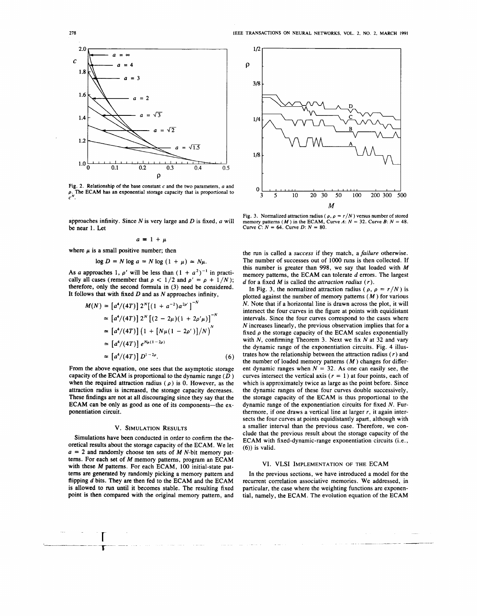

Fig. 2. Relationship of the base constant *c* and the two parameters, *a* and  $\rho$ . The ECAM has an exponential storage capacity that is proportional to  $c^N$ .

approaches infinity. Since N is very large and D is fixed, *a* will be near 1. Let

$$
a = 1 + \mu
$$

where  $\mu$  is a small positive number; then

$$
\log D = N \log a = N \log (1 + \mu) \simeq N\mu.
$$

As *a* approaches 1,  $\rho'$  will be less than  $(1 + a^2)^{-1}$  in practically all cases (remember that  $\rho < 1/2$  and  $\rho' = \rho + 1/N$ ); therefore, only the second formula in (3) need be considered. It follows that with fixed  $D$  and as  $N$  approaches infinity,

$$
M(N) = [a^4/(4T)] 2^N [(1 + a^{-2})a^{2\nu}]^{-N}
$$
  
\n
$$
\approx [a^4/(4T)] 2^N [(2 - 2\mu)(1 + 2\rho'\mu)]^{-N}
$$
  
\n
$$
\approx [a^4/(4T)] (1 + [N\mu(1 - 2\rho')]/N)^N
$$
  
\n
$$
\approx [a^4/(4T)] e^{N\mu(1 - 2\rho)}
$$
  
\n
$$
\approx [a^4/(4T)] D^{1 - 2\rho}.
$$
 (6)

From the above equation, one sees that the asymptotic storage capacity of the ECAM is proportional to the dynamic range  $(D)$ when the required attraction radius  $(\rho)$  is 0. However, as the attraction radius is increased, the storage capacity decreases. These findings are not at all discouraging since they say that the ECAM can be only as good as one of its components-the exponentiation circuit.

#### **V. SIMULATION RESULTS**

Simulations have been conducted in order to confirm the theoretical results about the storage capacity of the ECAM. We let  $a = 2$  and randomly choose ten sets of M N-bit memory patterns. For each set of M memory patterns, program an ECAM with these *M* patterns. For each ECAM, 100 initial-state patterns are generated by randomly picking a memory pattern and flipping d bits. They are then fed to the ECAM and the ECAM is allowed to run until it becomes stable. The resulting fixed point is then compared with the original memory pattern, and

> r  $\mathbf{T}$



Fig. 3. Normalized attraction radius ( $\rho$ ,  $\rho = r/N$ ) versus number of stored memory patterns (*M*) in the ECAM, Curve A:  $N = 32$ . Curve B:  $N = 48$ . Curve *C*:  $N = 64$ . Curve *D*:  $N = 80$ .

the run is called a *success* if they match, a *failure* otherwise. The number of successes out of 1000 runs is then collected. If this number is greater than 998, we say that loaded with *M*  memory patterns, the ECAM can tolerate d errors. The largest *d* for a fixed *M* is called the *attraction radius* ( *r).* 

In Fig. 3, the normalized attraction radius ( $\rho$ ,  $\rho = r/N$ ) is plotted against the number of memory patterns ( *M* ) for various N. Note that if a horizontal line is drawn across the plot, it will intersect the four curves in the figure at points with equidistant intervals. Since the four curves correspond to the cases where N increases linearly, the previous observation implies that for a fixed  $\rho$  the storage capacity of the ECAM scales exponentially with  $N$ , confirming Theorem 3. Next we fix  $N$  at 32 and vary the dynamic range of the exponentiation circuits. Fig. 4 illustrates how the relationship between the attraction radius  $(r)$  and the number of loaded memory patterns  $(M)$  changes for different dynamic ranges when  $N = 32$ . As one can easily see, the curves intersect the vertical axis ( $r = 1$ ) at four points, each of which is approximately twice as large as the point before. Since the dynamic ranges of these four curves double successively, the storage capacity of the ECAM is thus proportional to the dynamic range of the exponentiation circuits for fixed N. Furthermore, if one draws a vertical line at larger *r,* it again intersects the four curves at points equidistantly apart, although with a smaller interval than the previous case. Therefore, we conclude that the previous result about the storage capacity of the ECAM with fixed-dynamic-range exponentiation circuits (i.e., (6)) is valid.

#### VI. VLSI IMPLEMENTATION OF THE ECAM

In the previous sections, we have introduced a model for the recurrent correlation associative memories. We addressed, in particular, the case where the weighting functions are exponential, namely, the ECAM. The evolution equation of the ECAM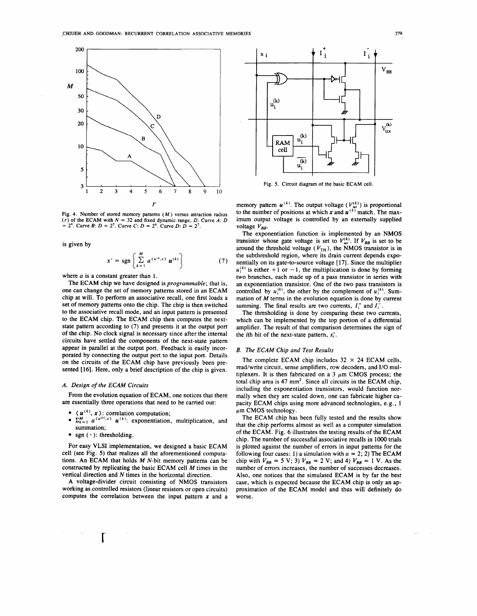

Fig. 4. Number of stored memory patterns  $(M)$  versus attraction radius  $(r)$  of the ECAM with  $N = 32$  and fixed dynamic range, D. Curve A: D  $= 2<sup>4</sup>$ . Curve *B*: *D* = 2<sup>5</sup>. Curve *C*: *D* = 2<sup>6</sup>. Curve *D*: *D* = 2<sup>7</sup>.

is given by

$$
x' = \text{sgn}\left\{\sum_{k=1}^{M} a^{\langle u^{(k)}, x \rangle} u^{(k)}\right\} \tag{7}
$$

where *a* is a constant greater than 1.

The ECAM chip we have designed is *programmable;* that is, one can change the set of memory patterns stored in an ECAM chip at will. To perform an associative recall, one first loads a set of memory patterns onto the chip. The chip is then switched to the associative recall mode, and an input pattern is presented to the ECAM chip. The ECAM chip then computes the nextstate pattern according to (7) and presents it at the output port of the chip. No clock signal is necessary since after the internal circuits have settled the components of the next-state pattern appear in parallel at the output port. Feedback is easily incorporated by connecting the output port to the input port. Details on the circuits of the ECAM chip have previously been presented [16). Here, only a brief description of the chip is given.

## *A. Design of the ECAM Circuits*

From the evolution equation of ECAM, one notices that there are essentially three operations that need to be carried out:

- $\bullet \ \langle u^{(k)}, x \rangle$ : correlation computation;
- $\sum_{k=1}^{M} a^{(u^{(k)},x)} u^{(k)}$ : exponentiation, multiplication, and summation;
- sgn  $( \cdot )$ : thresholding.

r

For easy VLSI implementation, we designed a basic ECAM cell (see Fig. 5) that realizes all the aforementioned computations. An ECAM that holds  $M$  N-bit memory patterns can be constructed by replicating the basic ECAM cell M times in the vertical direction and N times in the horizontal direction.

A voltage-divider circuit consisting of NMOS transistors working as controlled resistors (linear resistors or open circuits) computes the correlation between the input pattern *x* and a



Fig. 5. Circuit diagram of the basic ECAM cell.

memory pattern  $u^{(k)}$ . The output voltage ( $V_{ux}^{(k)}$ ) is proportional to the number of positions at which x and  $\mathbf{u}^{(k)}$  match. The maximum output voltage is controlled by an externally supplied voltage  $V_{BB}$ .

The exponentiation function is implemented by an **NMOS**  transistor whose gate voltage is set to  $V_{ax}^{(k)}$ . If  $V_{BB}$  is set to be around the threshold voltage  $(V_{TH})$ , the NMOS transistor is in the subthreshold region, where its drain current depends exponentially on its gate-to-source voltage [ 17). Since the multiplier  $u_i^{(k)}$  is either +1 or -1, the multiplication is done by forming two branches, each made up of a pass transistor in series with an exponentiation transistor. One of the two pass transistors is controlled by  $u_i^{(k)}$ , the other by the complement of  $u_i^{(k)}$ . Summation of *M* terms in the evolution equation is done by current summing. The final results are two currents,  $I_i^+$  and  $I_i^-$ .

The thresholding is done by comparing these two currents, which can be implemented by the top portion of a differential amplifier. The result of that comparison determines the sign of the *i*th bit of the next-state pattern,  $x_i'$ .

## *B. The ECAM Chip and Test Results*

The complete **ECAM** chip includes  $32 \times 24$  **ECAM** cells, read/write circuit, sense amplifiers, row decoders, and 1/0 multiplexers. It is then fabricated on a  $3 \mu$ m CMOS process; the total chip area is  $47 \text{ mm}^2$ . Since all circuits in the ECAM chip, including the exponentiation transistors, would function normally when they are scaled down, one can fabricate higher capacity ECAM chips using more advanced technologies, e.g., 1  $\mu$ m CMOS technology.

The ECAM chip has been fully tested and the results show that the chip performs almost as well as a computer simulation of the ECAM. Fig. 6 illustrates the testing results of the ECAM chip. The number of successful associative recalls in 1000 trials is plotted against the number of errors in input patterns for the following four cases: 1) a simulation with  $a = 2$ ; 2) The ECAM chip with  $V_{BB} = 5 \text{ V}$ ; 3)  $V_{BB} = 2 \text{ V}$ ; and 4)  $V_{BB} = 1 \text{ V}$ . As the number of errors increases, the number of successes decreases. Also, one notices that the simulated ECAM is by far the best case, which is expected because the ECAM chip is only an approximation of the ECAM model and thus will definitely do worse.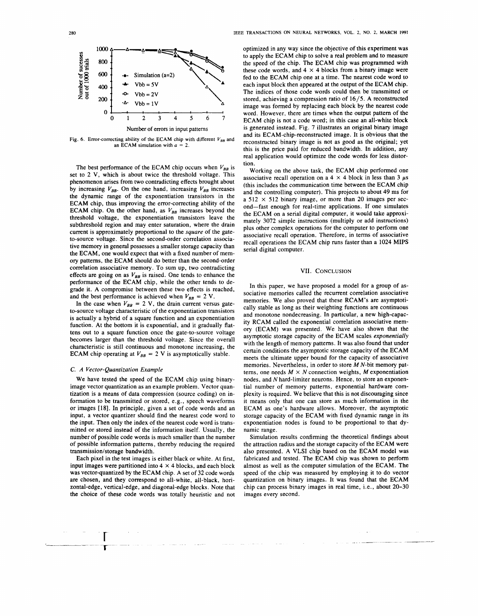

Fig. 6. Error-correcting ability of the ECAM chip with different  $V_{BB}$  and an ECAM simulation with *a* = 2.

The best performance of the ECAM chip occurs when  $V_{BB}$  is set to 2 V, which is about twice the threshold voltage. This phenomenon arises from two contradicting effects brought about by increasing  $V_{BB}$ . On the one hand, increasing  $V_{BB}$  increases the dynamic range of the exponentiation transistors in the **ECAM** chip, thus improving the error-correcting ability of the **ECAM** chip. On the other hand, as  $V_{BB}$  increases beyond the threshold voltage, the exponentiation transistors leave the subthreshold region and may enter saturation, where the drain current is approximately proportional to the *square* of the gateto-source voltage. Since the second-order correlation associative memory in general possesses a smaller storage capacity than the ECAM, one would expect that with a fixed number of memory patterns, the ECAM should do better than the second-order correlation associative memory. To sum up, two contradicting effects are going on as  $V_{BB}$  is raised. One tends to enhance the performance of the ECAM chip, while the other tends to degrade it. A compromise between these two effects is reached, and the best performance is achieved when  $V_{BB} = 2 \text{ V}$ .

In the case when  $V_{BB} = 2$  V, the drain current versus gateto-source voltage characteristic of the exponentiation transistors is actually a hybrid of a square function and an exponentiation function. At the bottom it is exponential, and it gradually flattens out to a square function once the gate-to-source voltage becomes larger than the threshold voltage. Since the overall characteristic is still continuous and monotone increasing, the **ECAM** chip operating at  $V_{BB} = 2$  V is asymptotically stable.

#### C. *A Vector-Quantization Example*

**r T--**

We have tested the speed of the ECAM chip using binaryimage vector quantization as an example problem. Vector quantization is a means of data compression (source coding) on information to be transmitted or stored, e.g., speech waveforms or images [18]. In principle, given a set of code words and an input, a vector quantizer should find the nearest code word to the input. Then only the index of the nearest code word is transmitted or stored instead of the information itself. Usually, the number of possible code words is much smaller than the number of possible information patterns, thereby reducing the required transmission/storage bandwidth.

Each pixel in the test images is either black or white. At first, input images were partitioned into  $4 \times 4$  blocks, and each block was vector-quantized by the ECAM chip. A set of 32 code words are chosen, and they correspond to all-white, all-black, horizontal-edge, vertical-edge, and diagonal-edge blocks. Note that the choice of these code words was totally heuristic and not

optimized in any way since the objective of this experiment was to apply the ECAM chip to solve a real problem and to measure the speed of the chip. The ECAM chip was programmed with these code words, and  $4 \times 4$  blocks from a binary image were fed to the ECAM chip one at a time. The nearest code word to each input block then appeared at the output of the **ECAM** chip. The indices of those code words could then be transmitted or stored, achieving a compression ratio of 16/5. A reconstructed image was formed by replacing each block by the nearest code word. However, there are times when the output pattern of the ECAM chip is not a code word; in this case an all-white block is generated instead. Fig. 7 illustrates an original binary image and its ECAM-chip-reconstructed image. It is obvious that the reconstructed binary image is not as good as the original; yet this is the price paid for reduced bandwidth. In addition, any real application would optimize the code words for less distortion.

Working on the above task, the ECAM chip performed one associative recall operation on a 4  $\times$  4 block in less than 3  $\mu$ s (this includes the communication time between the ECAM chip and the controlling computer). This projects to about 49 ms for a  $512 \times 512$  binary image, or more than 20 images per second-fast enough for real-time applications. If one simulates the ECAM on a serial digital computer, it would take approximately 3072 simple instructions (multiply or add instructions) plus other complex operations for the computer to perform one associative recall operation. Therefore, in terms of associative recall operations the ECAM chip runs faster than a 1024 **MIPS**  serial digital computer.

#### **VII.** CONCLUSION

In this paper, we have proposed a model for a group of associative memories called the recurrent correlation associative memories. We also proved that these **RCAM's** are asymptotically stable as long as their weighting functions are continuous and monotone nondecreasing. In particular, a new high-capacity **RCAM** called the exponential correlation associative memory (ECAM) was presented. We have also shown that the asymptotic storage capacity of the ECAM scales *exponentially*  with the length of memory patterns. It was also found that under certain conditions the asymptotic storage capacity of the ECAM meets the ultimate upper bound for the capacity of associative memories. Nevertheless, in order to store  $M N$ -bit memory patterns, one needs  $M \times N$  connection weights, *M* exponentiation nodes, and *N* hard-limiter neurons. Hence, to store an exponential number of memory patterns, exponential hardware complexity is required. We believe that this is not discouraging since it means only that one can store as much information in the ECAM as one's hardware allows. Moreover, the asymptotic storage capacity of the ECAM with fixed dynamic range in its exponentiation nodes is found to be proportional to that dynamic range.

Simulation results confirming the theoretical findings about the attraction radius and the storage capacity of the ECAM were also presented. A VLSI chip based on the ECAM model was fabricated and tested. The ECAM chip was shown to perform almost as well as the computer simulation of the ECAM. The speed of the chip was measured by employing it to do vector quantization on binary images. It was found that the ECAM chip can process binary images in real time, i.e., about 20-30 images every second.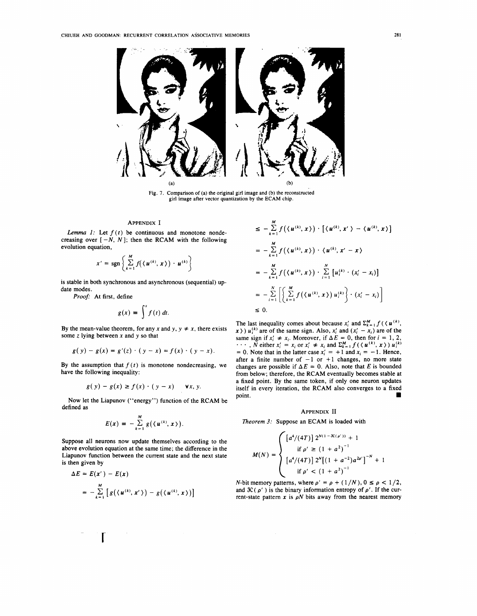

Fig. 7. Comparison of (a) the original girl image and (b) the reconstructed girl image after vector quantization by the ECAM chip.

## APPENDIX I

*Lemma 1:* Let  $f(t)$  be continuous and monotone nondecreasing over  $[-N, N]$ ; then the RCAM with the following evolution equation,

$$
x' = \text{sgn}\left\{\sum_{k=1}^M f(\langle \boldsymbol{u}^{(k)}, \boldsymbol{x}\rangle) \cdot \boldsymbol{u}^{(k)}\right\}
$$

is stable in both synchronous and asynchronous (sequential) update modes.

Proof: At first, define

define  

$$
g(x) = \int^x f(t) dt.
$$

By the mean-value theorem, for any *x* and *y*,  $y \neq x$ , there exists some *z* lying between *x* and y so that

$$
g(y) - g(x) = g'(z) \cdot (y - x) = f(x) \cdot (y - x).
$$

By the assumption that  $f(t)$  is monotone nondecreasing, we have the following inequality:

$$
g(y) - g(x) \ge f(x) \cdot (y - x) \quad \forall x, y.
$$

Now let the Liapunov ("energy") function of the RCAM be defined as

$$
E(x) = -\sum_{k=1}^{M} g(\langle u^{(k)}, x \rangle).
$$

Suppose all neurons now update themselves according to the above evolution equation at the same time; the difference in the Liapunov function between the current state and the next state is then given by

$$
\Delta E = E(x') - E(x)
$$
  
= 
$$
-\sum_{k=1}^{M} [g(\langle u^{(k)}, x' \rangle) - g(\langle u^{(k)}, x \rangle)]
$$

r

$$
\leq -\sum_{k=1}^{M} f(\langle u^{(k)}, x \rangle) \cdot [\langle u^{(k)}, x' \rangle - \langle u^{(k)}, x \rangle]
$$
\n
$$
= -\sum_{k=1}^{M} f(\langle u^{(k)}, x \rangle) \cdot \langle u^{(k)}, x' - x \rangle
$$
\n
$$
= -\sum_{k=1}^{M} f(\langle u^{(k)}, x \rangle) \cdot \sum_{i=1}^{N} [u_i^{(k)} \cdot (x_i' - x_i)]
$$
\n
$$
= -\sum_{i=1}^{N} \left[ \left\{ \sum_{k=1}^{M} f(\langle u^{(k)}, x \rangle) u_i^{(k)} \right\} \cdot (x_i' - x_i) \right]
$$
\n
$$
\leq 0.
$$

The last inequality comes about because  $x'_i$  and  $\sum_{k=1}^{M} f(x_i, u^{(k)})$ ,  $x$ )  $u_i^{(k)}$  are of the same sign. Also,  $x_i'$  and  $(x_i' - x_i)$  are of the  $f(x)$   $u_i$  are of the same sign. Also,  $x_i$  and  $(x_i - x_i)$  are of the same sign if  $x'_i \neq x_i$ . Moreover, if  $\Delta E = 0$ , then for  $i = 1, 2$ , same sign if  $x_i \neq x_i$ . Moreover, if  $\Delta E = 0$ , then for  $i = 1, 2, ...$ ,  $N$  either  $x'_i = x_i$  or  $x'_i \neq x_i$  and  $\sum_{k=1}^{M} f(\langle u^{(k)}, x \rangle) u_i^{(k)}$ = 0. Note that in the latter case  $x'_i = +1$  and  $x_i = -1$ . Hence, after a finite number of  $-1$  or  $+1$  changes, no more state changes are possible if  $\Delta E = 0$ . Also, note that E is bounded from below; therefore, the RCAM eventually becomes stable at a fixed point. By the same token, if only one neuron updates itself in every iteration, the RCAM also converges to a fixed point.

## APPENDIX II

*Theorem 3:* Suppose an ECAM is loaded with

$$
M(N) = \begin{cases} \left[a^4/(4T)\right] 2^{N(1-3C(\rho'))} + 1 \\ \text{if } \rho' \ge \left(1+a^2\right)^{-1} \\ \left[a^4/(4T)\right] 2^N \left[\left(1+a^{-2}\right) a^{2\rho'}\right]^{-N} + 1 \\ \text{if } \rho' < \left(1+a^2\right)^{-1} \end{cases}
$$

N-bit memory patterns, where  $\rho' = \rho + (1/N)$ ,  $0 \le \rho < 1/2$ , and  $\mathfrak{IC}(\rho')$  is the binary information entropy of  $\rho'$ . If the current-state pattern  $x$  is  $\rho N$  bits away from the nearest memory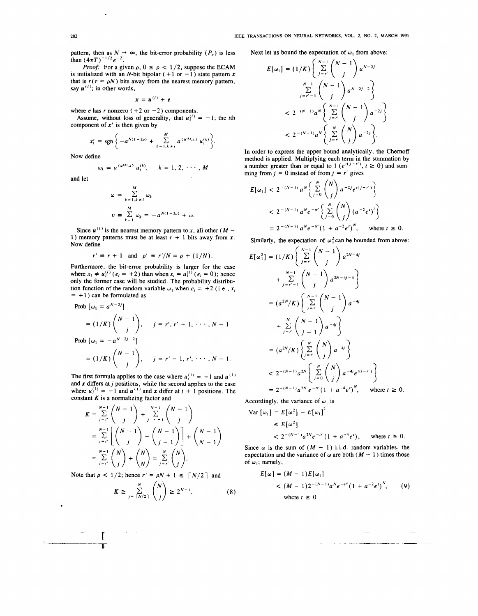pattern, then as  $N \to \infty$ , the bit-error probability  $(P_e)$  is less than  $(4\pi T)^{-1/2}e^{-T}$ .

*Proof:* For a given  $\rho$ ,  $0 \le \rho < 1/2$ , suppose the ECAM is initialized with an N-bit bipolar  $(+1 \text{ or } -1)$  state pattern x that is  $r(r = \rho N)$  bits away from the nearest memory pattern, say  $\mathbf{u}^{(l)}$ ; in other words,

$$
x = u^{(l)} + e
$$

where  $e$  has  $r$  nonzero ( $+2$  or  $-2$ ) components. Assume, without loss of generality, that  $u_i^{(l)} = -1$ ; the *i*th component of *x'* is then given by

$$
x'_{i} = \text{sgn}\left\{-a^{N(1-2\rho)} + \sum_{k=1, k\neq i}^{M} a^{(u^{(k)}, x)} u_{i}^{(k)}\right\}.
$$

Now define

 $\omega$ 

$$
\equiv a^{\langle u^{(k)},x\rangle} u_i^{(k)}, \qquad k=1,2,\cdots,M
$$

and let

$$
\omega = \sum_{k=1, k \neq l}^{M} \omega_k
$$
  

$$
\upsilon = \sum_{k=1}^{M} \omega_k = -a^{N(1-2\rho)} + \omega.
$$

Since  $\boldsymbol{u}^{(l)}$  is the nearest memory pattern to x, all other ( $\boldsymbol{M}$  -1) memory patterns must be at least  $r + 1$  bits away from  $x$ . Now define

$$
r' \equiv r + 1 \quad \text{and} \quad \rho' \equiv r'/N = \rho + (1/N).
$$

Furthermore, the bit-error probability is larger for the case where  $x_i \neq u_i^{(l)}$  ( $e_i = +2$ ) than when  $x_i = u_i^{(l)}$  ( $e_i = 0$ ); hence only the former case will be studied. The probability distribution function of the random variable  $\omega_1$  when  $e_i = +2$  (i.e.,  $x_i$ )  $= +1$ ) can be formulated as

Prob 
$$
[\omega_1 = a^{N-2j}]
$$
  
\n
$$
= (1/K) \binom{N-1}{j}, \quad j = r', r' + 1, \cdots, N-1
$$
\nProb  $[\omega_1 = -a^{N-2j-2}]$   
\n
$$
= (1/K) \binom{N-1}{j}, \quad j = r' - 1, r', \cdots, N-1.
$$

The first formula applies to the case where  $u_i^{(1)} = +1$  and  $u^{(1)}$ and x differs at j positions, while the second applies to the case where  $u_i^{(1)} = -1$  and  $u^{(1)}$  and x differ at  $j + 1$  positions. The constant *K* is a normalizing factor and

$$
K = \sum_{j=r'}^{N-1} {N-1 \choose j} + \sum_{j=r'-1}^{N-1} {N-1 \choose j} = \sum_{j=r'}^{N-1} {N-1 \choose j} + {N-1 \choose j-1} + {N-1 \choose N-1} = \sum_{j=r'}^{N-1} {N \choose j} + {N \choose N} = \sum_{j=r'}^{N} {N \choose j}.
$$

Note that  $\rho < 1/2$ ; hence  $r' = \rho N + 1 \leq \lceil N/2 \rceil$  and

 $\mathcal{A}^{\mathcal{A}}$  and  $\mathcal{A}^{\mathcal{A}}$ 

$$
K \geq \sum_{j=\lceil N/2 \rceil}^{N} {N \choose j} \geq 2^{N-1}.
$$
 (8)

Next let us bound the expectation of 
$$
\omega_1
$$
 from above:  
\n
$$
E[\omega_1] = (1/K) \left\{ \sum_{j=r'}^{N-1} {N-1 \choose j} a^{N-2j} - \sum_{j=r'-1}^{N-1} {N-1 \choose j} a^{N-2j-2} \right\}
$$
\n
$$
< 2^{-(N-1)} a^N \left\{ \sum_{j=r'}^{N-1} {N-1 \choose j} a^{-2j} \right\}
$$
\n
$$
< 2^{-(N-1)} a^N \left\{ \sum_{j=r'}^{N} {N \choose j} a^{-2j} \right\}.
$$

In order to express the upper bound analytically, the Chernoff method is applied. Multiplying each term in the summation by a number greater than or equal to  $1(e^{i(1-r)})$ ,  $t \ge 0$ ) and summing from  $j = 0$  instead of from  $j = r'$  gives

$$
E[\omega_1] < 2^{-(N-1)} a^N \left\{ \sum_{j=0}^N \binom{N}{j} a^{-2j} e^{t(j-r')} \right\}
$$
\n
$$
< 2^{-(N-1)} a^N e^{-tr'} \left\{ \sum_{j=0}^N \binom{N}{j} (a^{-2} e^t)^j \right\}
$$
\n
$$
= 2^{-(N-1)} a^N e^{-tr'} (1 + a^{-2} e^t)^N, \quad \text{where } t \ge 0.
$$

Similarly, the expectation of 
$$
\omega_1^2
$$
 can be bounded from above:  
\n
$$
E[\omega_1^2] = (1/K) \left\{ \sum_{j=r'}^{N-1} {N-1 \choose j} a^{2N-4j} + \sum_{j=r'-1}^{N-1} {N-1 \choose j} a^{2N-4j-4} \right\}
$$
\n
$$
= (a^{2N}/K) \left\{ \sum_{j=r'}^{N-1} {N-1 \choose j} a^{-4j} + \sum_{j=r'}^{N} {N-1 \choose j-1} a^{-4j} \right\}
$$
\n
$$
= (a^{2N}/K) \left\{ \sum_{j=r'}^{N} {N \choose j-1} a^{-4j} \right\}
$$
\n
$$
< 2^{-(N-1)} a^{2N} \left\{ \sum_{j=r'}^{N} {N \choose j} a^{-4j} \right\}
$$
\n
$$
< 2^{-(N-1)} a^{2N} \left\{ \sum_{j=0}^{N} {N \choose j} a^{-4j} e^{t(j-r')} \right\}
$$
\n
$$
= 2^{-(N-1)} a^{2N} e^{-tr'} (1 + a^{-4} e')^N, \text{ where } t \ge 0.
$$

Accordingly, the variance of  $\omega_1$  is

$$
\begin{aligned} \text{Var} \left[ \omega_1 \right] &= E \left[ \omega_1^2 \right] - E \left[ \omega_1 \right]^2 \\ &\le E \left[ \omega_1^2 \right] \\ &< 2^{-(N-1)} a^{2N} e^{-tr'} (1 + a^{-4} e'), \qquad \text{where } t \ge 0. \end{aligned}
$$

Since  $\omega$  is the sum of  $(M - 1)$  i.i.d. random variables, the expectation and the variance of  $\omega$  are both ( $M - 1$ ) times those of  $\omega_1$ ; namely,

$$
E[\omega] = (M - 1)E[\omega_1]
$$
  
<  $(M - 1)2^{-(N-1)}a^N e^{-tr'}(1 + a^{-2}e^t)^N$ , (9)  
where  $t \ge 0$ 

and the second second in the second second in the second second second in the second second second second second second second second second second second second second second second second second second second second seco

$$
\mathcal{L}_{\mathcal{A}}(t)
$$

r **T--**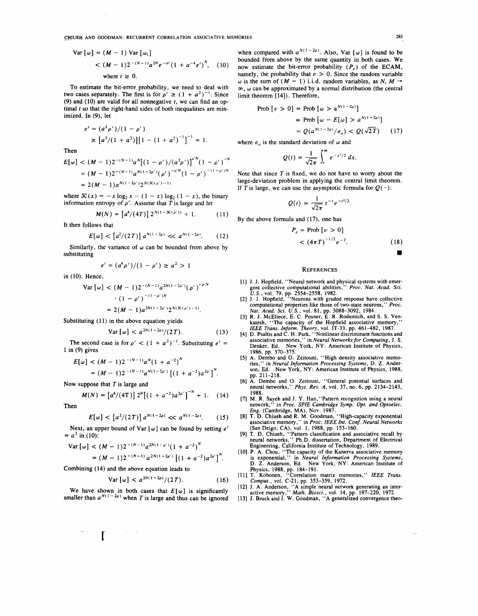~J:!IUEH AND GOODMAN: RECURRENT CORRELATION ASSOCIATIVE MEMORIES 283

Var [
$$
\omega
$$
] = ( $M - 1$ ) Var [ $\omega_1$ ]  
<  $(M - 1)2^{-(N-1)}a^{2N}e^{-tr'}(1 + a^{-4}e')^{N}$ , (10)  
where  $t \ge 0$ .

To estimate the bit-error probability, we need to deal with two cases separately. The first is for  $\rho' \ge (1 + a^2)^{-1}$ . Since (9) and (10) are valid for all nonnegative *t,* we can find an optimal *t* so that the right-hand sides of both inequalities are minimized. In (9), let

$$
e' = (a^2 \rho')/(1 - \rho')
$$
  
\n
$$
\geq [a^2/(1 + a^2)][1 - (1 + a^2)^{-1}]^{-1} = 1.
$$

Then

$$
E[\omega] < (M-1)2^{-(N-1)}a^N[(1-\rho')/(a^2\rho')]^{\rho^N}(1-\rho')^{-N}
$$
\n
$$
= (M-1)2^{-(N-1)}a^{N(1-2\rho')}(\rho')^{-\rho^N}(1-\rho')^{-(1-\rho')N}
$$
\n
$$
= 2(M-1)a^{N(1-2\rho')}2^{N(\Re(\rho')-1)}
$$

where  $\mathcal{X}(x) = -x \log_2 x - (1 - x) \log_2 (1 - x)$ , the binary information entropy of  $\rho'$ . Assume that  $\overline{T}$  is large and let

$$
M(N) = [a^4/(4T)] 2^{N(1-3C(\rho'))} + 1.
$$
 (11)

It then follows that

$$
E[\omega] < \left[a^2/(2\,T)\right] a^{N(1-2\rho)} \ll a^{N(1-2\rho)}.\tag{12}
$$

Similarly, the variance of  $\omega$  can be bounded from above by substituting

$$
e' = (a^4 \rho')/(1 - \rho') \ge a^2 > 1
$$

in (10). Hence,

Then

Var 
$$
[\omega]
$$
  $< (M - 1)2^{-(N-1)}a^{2N(1-2\rho')}(\rho')^{-\rho'N}$   
\n $\cdot (1 - \rho')^{-(1-\rho')N}$   
\n $= 2(M - 1)a^{2N(1-2\rho')}2^{N(\mathcal{K}(\rho')-1)}$ .

Substituting  $(11)$  in the above equation yields

Var 
$$
[\omega]
$$
 <  $a^{2N(1-2\rho)}/(2T)$ . (13)

The second case is for  $\rho' < (1 + a^2)^{-1}$ . Substituting  $e' = 1$  in (9) gives

$$
E[\omega] < (M-1)2^{-(N-1)}a^N(1+a^{-2})^N
$$
  
=  $(M-1)2^{-(N-1)}a^{N(1-2\rho')} [(1+a^{-2})a^{2\rho'}]^{N}$ .

Now suppose that  $T$  is large and

r

$$
M(N) = [a^4/(4T)] 2^N [(1 + a^{-2})a^{2\rho'}]^{-N} + 1.
$$
 (14)

$$
E[\omega] < \left[a^2/(2T)\right] a^{N(1-2\rho)} \ll a^{N(1-2\rho)}.\tag{15}
$$

Next, an upper bound of Var  $[\omega]$  can be found by setting  $e^t$  $= a^2$  in (10):

Var [
$$
\omega
$$
]  $\leq$   $(M - 1)2^{-(N-1)}a^{2N(1-\rho')}(1 + a^{-2})^N$   
=  $(M - 1)2^{-(N-1)}a^{2N(1-2\rho')}[(1 + a^{-2})a^{2\rho'}]^{N}$ .

Combining (14) and the above equation leads to

Var 
$$
[\omega]
$$
 <  $a^{2N(1-2\rho)}/(2T)$ . (16)

We have shown in both cases that  $E[\omega]$  is significantly smaller than  $a^{N(1-2\rho)}$  when *T* is large and thus can be ignored

when compared with  $a^{N(1-2\rho)}$ . Also, Var [ $\omega$ ] is found to be bounded from above by the same quantity in both cases. **We**  now estimate the bit-error probability *(P,)* of the **ECAM,**  namely, the probability that  $v > 0$ . Since the random variable w is the sum of  $(M - 1)$  i.i.d. random variables, as N,  $M \rightarrow$  $\infty$ ,  $\omega$  can be approximated by a normal distribution (the central limit theorem (14]). Therefore,

$$
\begin{aligned} \text{Prob} \left[ v > 0 \right] &= \text{Prob} \left[ \omega > a^{N(1 - 2\rho)} \right] \\ &\simeq \text{Prob} \left[ \omega - E[\omega] > a^{N(1 - 2\rho)} \right] \\ &= Q(a^{N(1 - 2\rho)}/\sigma_{\omega}) < Q(\sqrt{2T}) \end{aligned} \tag{17}
$$

where  $\sigma_{\omega}$  is the standard deviation of  $\omega$  and

$$
Q(t)=\frac{1}{\sqrt{2\pi}}\int_t^{\infty}e^{-x^2/2}\,dx.
$$

Note that since *T* is fixed, we do not have to worry about the large-deviation problem in applying the central limit theorem. If *T* is large, we can use the asymptotic formula for  $Q(\cdot)$ :

$$
Q(t) \simeq \frac{1}{\sqrt{2\pi}} t^{-1} e^{-t^2/2}
$$

By the above formula and (17), one has

$$
P_e = \text{Prob} \left[ \nu > 0 \right] \\ < \left( 4\pi \, T \right)^{-1/2} e^{-T}. \tag{18}
$$

#### **REFERENCES**

- [1] J. J. Hopfield, "Neural network and physical systems with emergent collective computational abilities," *Proc. Nat. Acad. Sci.*  $U.S.$ , vol. 79, pp. 2554-2558, 1982.<br>[2] J. J. Hopfield, "Neurons with graded response ha
- computational properties like those of two-state neurons," *Proc.*
- *Nat. Acad. Sci. U.S.,* vol. 81, pp. 3088-3092, 1984. [3] R. J. McEliece, E. C. Posner, E. R. Rodemich, and S.S. Venkatesh, "The capacity of the Hopfield associative memory,"
- IEEE Trans. Inform. Theory, vol. IT-33, pp. 461-482, 1987.<br>[4] D. Psaltis and C. H. Park, "Nonlinear discriminant functions and associative memories, "in Neural Networks for Computing, J. S.<br>Denker, Ed. New York, NY: Ameri
- (5] A. Dembo and 0. Zeitouni, "High density associative memo-ries," in *Neural Information Processing Systems,* D. Z. Anderson, Ed. New York, NY: American Institute of Physics, 1988, pp. 211-218.
- [6] A. Dembo and 0. Zeitouni, "General potential surfaces and neural networks," *Phys. Rev. A,* vol. 37, no. 6, pp. 2134-2143, 1988.
- [7] **M. R.** Sayeh and J. Y. Han, "Pattern recognition using a neural
- 
- network," in *Proc. SPIE Cambridge Symp. Opt. and Optoelec.*<br>
Eng. (Cambridge, MA), Nov. 1987.<br>
[8] T. D. Chiueh and R. M. Goodman, "High-capacity exponential<br>
associative memory," in *Proc. IEEE Int. Conf. Neural Networks*
- 
- Physics, 1988, pp. 184–191.<br>
[11] T. Kohonen, "Correlation matrix memories," IEEE Trans.<br>
Comput., vol. C-21, pp. 353–359, 1972.<br>
[12] J. A. Anderson, "A simple neural network generating an inter-<br>
active memory," Math. Bi
- 
- 

■